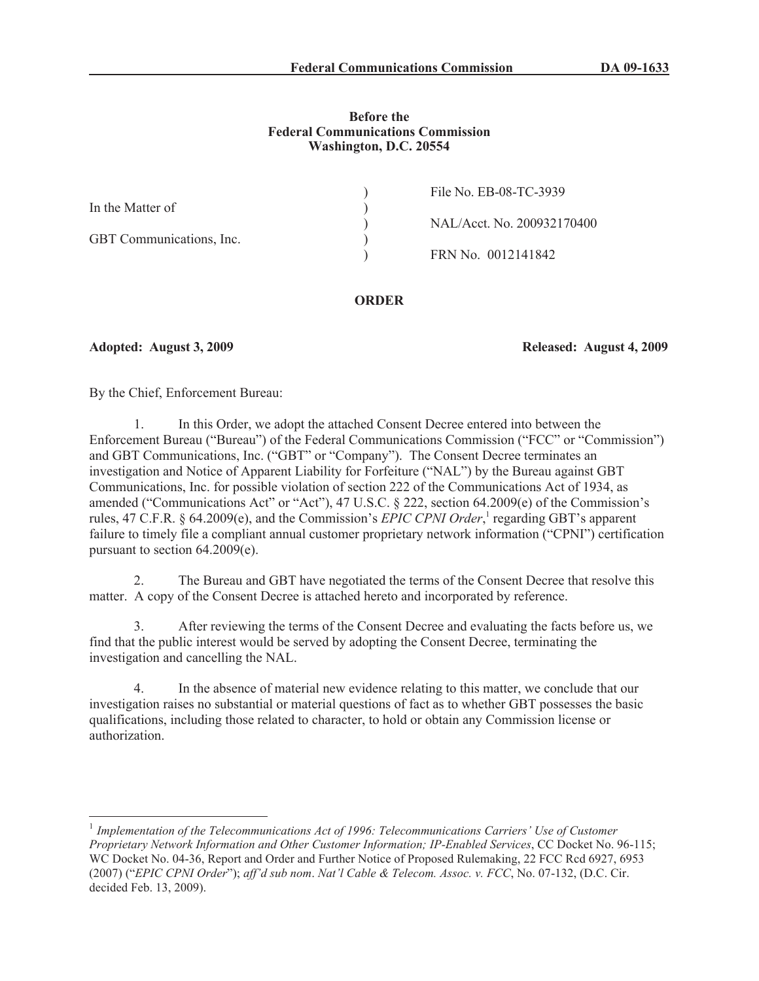## **Before the Federal Communications Commission Washington, D.C. 20554**

| File No. EB-08-TC-3939     |
|----------------------------|
|                            |
| NAL/Acct. No. 200932170400 |
|                            |
| FRN No. 0012141842         |
|                            |

# **ORDER**

**Adopted: August 3, 2009 Released: August 4, 2009**

By the Chief, Enforcement Bureau:

1. In this Order, we adopt the attached Consent Decree entered into between the Enforcement Bureau ("Bureau") of the Federal Communications Commission ("FCC" or "Commission") and GBT Communications, Inc. ("GBT" or "Company"). The Consent Decree terminates an investigation and Notice of Apparent Liability for Forfeiture ("NAL") by the Bureau against GBT Communications, Inc. for possible violation of section 222 of the Communications Act of 1934, as amended ("Communications Act" or "Act"), 47 U.S.C. § 222, section 64.2009(e) of the Commission's rules, 47 C.F.R. § 64.2009(e), and the Commission's *EPIC CPNI Order*,<sup>1</sup> regarding GBT's apparent failure to timely file a compliant annual customer proprietary network information ("CPNI") certification pursuant to section 64.2009(e).

2. The Bureau and GBT have negotiated the terms of the Consent Decree that resolve this matter. A copy of the Consent Decree is attached hereto and incorporated by reference.

3. After reviewing the terms of the Consent Decree and evaluating the facts before us, we find that the public interest would be served by adopting the Consent Decree, terminating the investigation and cancelling the NAL.

4. In the absence of material new evidence relating to this matter, we conclude that our investigation raises no substantial or material questions of fact as to whether GBT possesses the basic qualifications, including those related to character, to hold or obtain any Commission license or authorization.

<sup>&</sup>lt;sup>1</sup> Implementation of the Telecommunications Act of 1996: Telecommunications Carriers' Use of Customer *Proprietary Network Information and Other Customer Information; IP-Enabled Services*, CC Docket No. 96-115; WC Docket No. 04-36, Report and Order and Further Notice of Proposed Rulemaking, 22 FCC Rcd 6927, 6953 (2007) ("*EPIC CPNI Order*"); *aff'd sub nom*. *Nat'l Cable & Telecom. Assoc. v. FCC*, No. 07-132, (D.C. Cir. decided Feb. 13, 2009).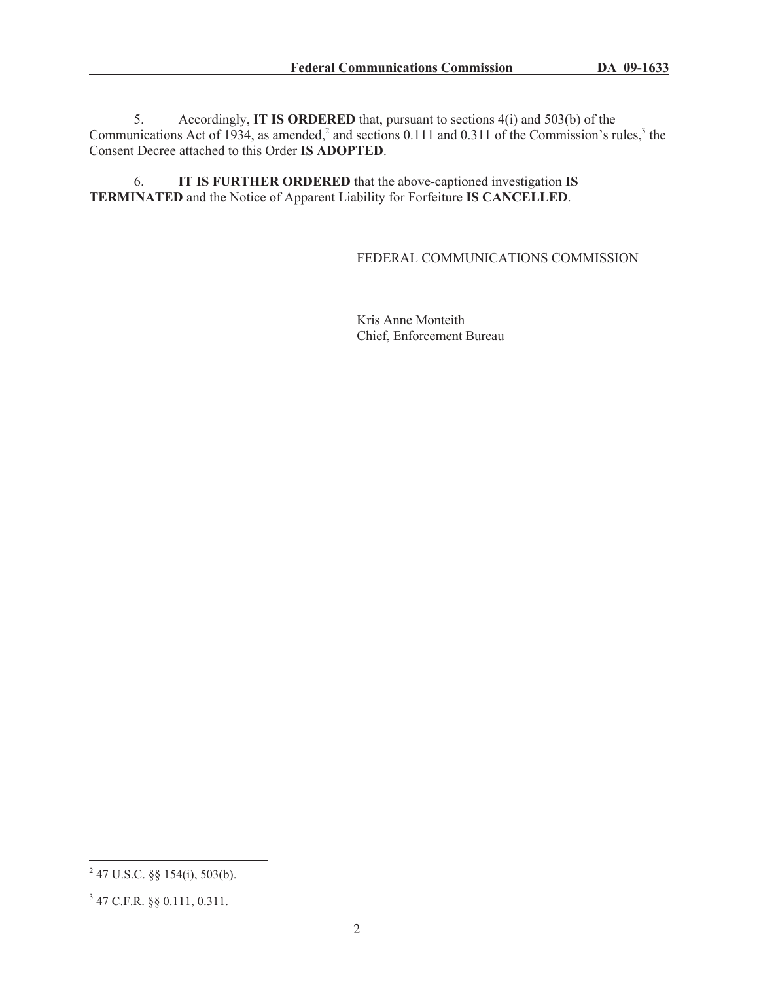5. Accordingly, **IT IS ORDERED** that, pursuant to sections 4(i) and 503(b) of the Communications Act of 1934, as amended,<sup>2</sup> and sections 0.111 and 0.311 of the Commission's rules,<sup>3</sup> the Consent Decree attached to this Order **IS ADOPTED**.

6. **IT IS FURTHER ORDERED** that the above-captioned investigation **IS TERMINATED** and the Notice of Apparent Liability for Forfeiture **IS CANCELLED**.

# FEDERAL COMMUNICATIONS COMMISSION

Kris Anne Monteith Chief, Enforcement Bureau

 $^{2}$  47 U.S.C. §§ 154(i), 503(b).

<sup>3</sup> 47 C.F.R. §§ 0.111, 0.311.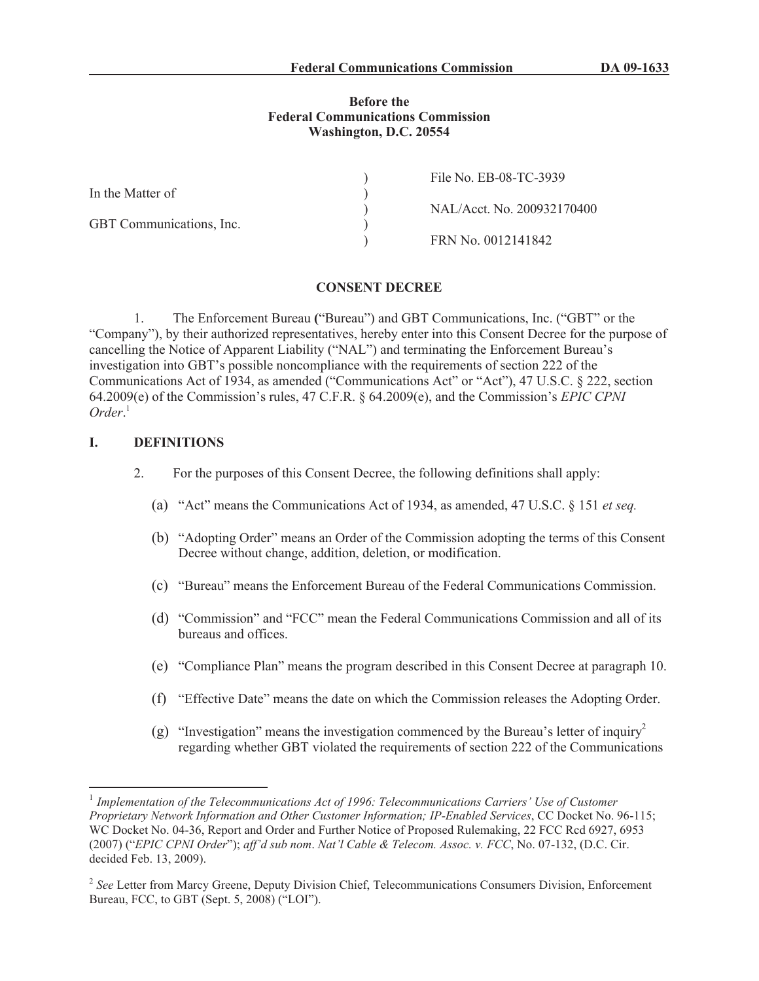### **Before the Federal Communications Commission Washington, D.C. 20554**

|                          | File No. EB-08-TC-3939     |
|--------------------------|----------------------------|
| In the Matter of         |                            |
|                          | NAL/Acct. No. 200932170400 |
| GBT Communications, Inc. |                            |
|                          | FRN No. 0012141842         |

#### **CONSENT DECREE**

1. The Enforcement Bureau **(**"Bureau") and GBT Communications, Inc. ("GBT" or the "Company"), by their authorized representatives, hereby enter into this Consent Decree for the purpose of cancelling the Notice of Apparent Liability ("NAL") and terminating the Enforcement Bureau's investigation into GBT's possible noncompliance with the requirements of section 222 of the Communications Act of 1934, as amended ("Communications Act" or "Act"), 47 U.S.C. § 222, section 64.2009(e) of the Commission's rules, 47 C.F.R. § 64.2009(e), and the Commission's *EPIC CPNI Order*. 1

## **I. DEFINITIONS**

- 2. For the purposes of this Consent Decree, the following definitions shall apply:
	- (a) "Act" means the Communications Act of 1934, as amended, 47 U.S.C. § 151 *et seq.*
	- (b) "Adopting Order" means an Order of the Commission adopting the terms of this Consent Decree without change, addition, deletion, or modification.
	- (c) "Bureau" means the Enforcement Bureau of the Federal Communications Commission.
	- (d) "Commission" and "FCC" mean the Federal Communications Commission and all of its bureaus and offices.
	- (e) "Compliance Plan" means the program described in this Consent Decree at paragraph 10.
	- (f) "Effective Date" means the date on which the Commission releases the Adopting Order.
	- (g) "Investigation" means the investigation commenced by the Bureau's letter of inquiry<sup>2</sup> regarding whether GBT violated the requirements of section 222 of the Communications

<sup>&</sup>lt;sup>1</sup> Implementation of the Telecommunications Act of 1996: Telecommunications Carriers' Use of Customer *Proprietary Network Information and Other Customer Information; IP-Enabled Services*, CC Docket No. 96-115; WC Docket No. 04-36, Report and Order and Further Notice of Proposed Rulemaking, 22 FCC Rcd 6927, 6953 (2007) ("*EPIC CPNI Order*"); *aff'd sub nom*. *Nat'l Cable & Telecom. Assoc. v. FCC*, No. 07-132, (D.C. Cir. decided Feb. 13, 2009).

<sup>&</sup>lt;sup>2</sup> See Letter from Marcy Greene, Deputy Division Chief, Telecommunications Consumers Division, Enforcement Bureau, FCC, to GBT (Sept. 5, 2008) ("LOI").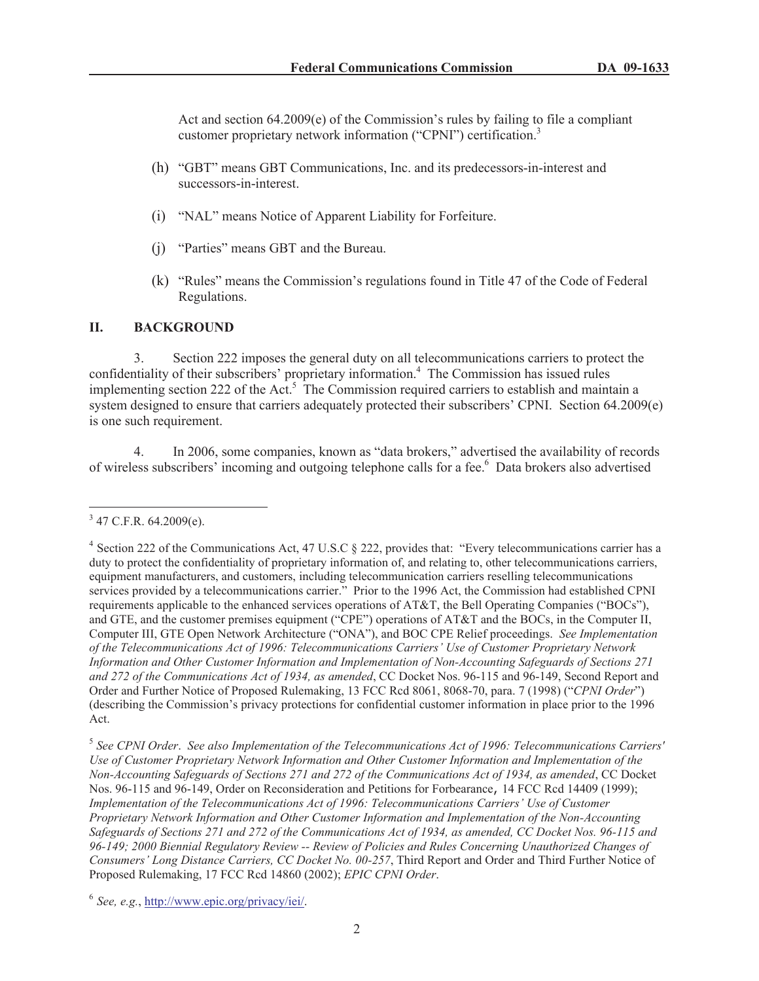Act and section 64.2009(e) of the Commission's rules by failing to file a compliant customer proprietary network information ("CPNI") certification.<sup>3</sup>

- (h) "GBT" means GBT Communications, Inc. and its predecessors-in-interest and successors-in-interest.
- (i) "NAL" means Notice of Apparent Liability for Forfeiture.
- (j) "Parties" means GBT and the Bureau.
- (k) "Rules" means the Commission's regulations found in Title 47 of the Code of Federal Regulations.

# **II. BACKGROUND**

3. Section 222 imposes the general duty on all telecommunications carriers to protect the confidentiality of their subscribers' proprietary information.<sup>4</sup> The Commission has issued rules implementing section 222 of the Act.<sup>5</sup> The Commission required carriers to establish and maintain a system designed to ensure that carriers adequately protected their subscribers' CPNI. Section 64.2009(e) is one such requirement.

4. In 2006, some companies, known as "data brokers," advertised the availability of records of wireless subscribers' incoming and outgoing telephone calls for a fee.<sup>6</sup> Data brokers also advertised

 $3$  47 C.F.R. 64.2009(e).

<sup>&</sup>lt;sup>4</sup> Section 222 of the Communications Act, 47 U.S.C § 222, provides that: "Every telecommunications carrier has a duty to protect the confidentiality of proprietary information of, and relating to, other telecommunications carriers, equipment manufacturers, and customers, including telecommunication carriers reselling telecommunications services provided by a telecommunications carrier." Prior to the 1996 Act, the Commission had established CPNI requirements applicable to the enhanced services operations of AT&T, the Bell Operating Companies ("BOCs"), and GTE, and the customer premises equipment ("CPE") operations of AT&T and the BOCs, in the Computer II, Computer III, GTE Open Network Architecture ("ONA"), and BOC CPE Relief proceedings. *See Implementation of the Telecommunications Act of 1996: Telecommunications Carriers' Use of Customer Proprietary Network Information and Other Customer Information and Implementation of Non-Accounting Safeguards of Sections 271 and 272 of the Communications Act of 1934, as amended*, CC Docket Nos. 96-115 and 96-149, Second Report and Order and Further Notice of Proposed Rulemaking, 13 FCC Rcd 8061, 8068-70, para. 7 (1998) ("*CPNI Order*") (describing the Commission's privacy protections for confidential customer information in place prior to the 1996 Act.

<sup>5</sup> *See CPNI Order*. *See also Implementation of the Telecommunications Act of 1996: Telecommunications Carriers' Use of Customer Proprietary Network Information and Other Customer Information and Implementation of the Non-Accounting Safeguards of Sections 271 and 272 of the Communications Act of 1934, as amended*, CC Docket Nos. 96-115 and 96-149, Order on Reconsideration and Petitions for Forbearance, 14 FCC Rcd 14409 (1999); *Implementation of the Telecommunications Act of 1996: Telecommunications Carriers' Use of Customer Proprietary Network Information and Other Customer Information and Implementation of the Non-Accounting Safeguards of Sections 271 and 272 of the Communications Act of 1934, as amended, CC Docket Nos. 96-115 and 96-149; 2000 Biennial Regulatory Review -- Review of Policies and Rules Concerning Unauthorized Changes of Consumers' Long Distance Carriers, CC Docket No. 00-257*, Third Report and Order and Third Further Notice of Proposed Rulemaking, 17 FCC Rcd 14860 (2002); *EPIC CPNI Order*.

<sup>6</sup> *See, e.g.*, http://www.epic.org/privacy/iei/.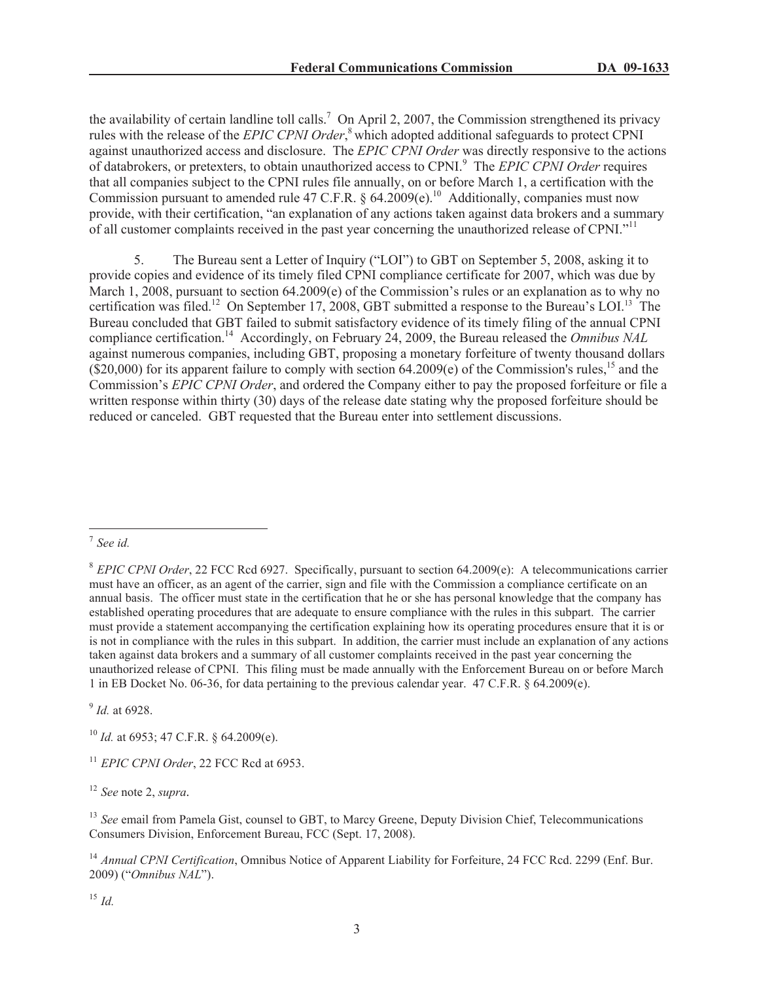the availability of certain landline toll calls.<sup>7</sup> On April 2, 2007, the Commission strengthened its privacy rules with the release of the *EPIC CPNI Order*, <sup>8</sup> which adopted additional safeguards to protect CPNI against unauthorized access and disclosure. The *EPIC CPNI Order* was directly responsive to the actions of databrokers, or pretexters, to obtain unauthorized access to CPNI.<sup>9</sup> The *EPIC CPNI Order* requires that all companies subject to the CPNI rules file annually, on or before March 1, a certification with the Commission pursuant to amended rule 47 C.F.R. § 64.2009(e).<sup>10</sup> Additionally, companies must now provide, with their certification, "an explanation of any actions taken against data brokers and a summary of all customer complaints received in the past year concerning the unauthorized release of CPNI."<sup>11</sup>

5. The Bureau sent a Letter of Inquiry ("LOI") to GBT on September 5, 2008, asking it to provide copies and evidence of its timely filed CPNI compliance certificate for 2007, which was due by March 1, 2008, pursuant to section 64.2009(e) of the Commission's rules or an explanation as to why no certification was filed.<sup>12</sup> On September 17, 2008, GBT submitted a response to the Bureau's LOI.<sup>13</sup> The Bureau concluded that GBT failed to submit satisfactory evidence of its timely filing of the annual CPNI compliance certification.<sup>14</sup> Accordingly, on February 24, 2009, the Bureau released the *Omnibus NAL* against numerous companies, including GBT, proposing a monetary forfeiture of twenty thousand dollars  $(S20,000)$  for its apparent failure to comply with section 64.2009(e) of the Commission's rules,<sup>15</sup> and the Commission's *EPIC CPNI Order*, and ordered the Company either to pay the proposed forfeiture or file a written response within thirty (30) days of the release date stating why the proposed forfeiture should be reduced or canceled. GBT requested that the Bureau enter into settlement discussions.

9 *Id.* at 6928.

<sup>10</sup> *Id.* at 6953; 47 C.F.R. § 64.2009(e).

<sup>11</sup> *EPIC CPNI Order*, 22 FCC Rcd at 6953.

<sup>12</sup> *See* note 2, *supra.*

<sup>13</sup> *See* email from Pamela Gist, counsel to GBT, to Marcy Greene, Deputy Division Chief, Telecommunications Consumers Division, Enforcement Bureau, FCC (Sept. 17, 2008).

<sup>14</sup> *Annual CPNI Certification*, Omnibus Notice of Apparent Liability for Forfeiture, 24 FCC Rcd. 2299 (Enf. Bur. 2009) ("*Omnibus NAL*").

<sup>15</sup> *Id.*

<sup>7</sup> *See id.*

<sup>8</sup> *EPIC CPNI Order*, 22 FCC Rcd 6927. Specifically, pursuant to section 64.2009(e): A telecommunications carrier must have an officer, as an agent of the carrier, sign and file with the Commission a compliance certificate on an annual basis. The officer must state in the certification that he or she has personal knowledge that the company has established operating procedures that are adequate to ensure compliance with the rules in this subpart. The carrier must provide a statement accompanying the certification explaining how its operating procedures ensure that it is or is not in compliance with the rules in this subpart. In addition, the carrier must include an explanation of any actions taken against data brokers and a summary of all customer complaints received in the past year concerning the unauthorized release of CPNI. This filing must be made annually with the Enforcement Bureau on or before March 1 in EB Docket No. 06-36, for data pertaining to the previous calendar year. 47 C.F.R. § 64.2009(e).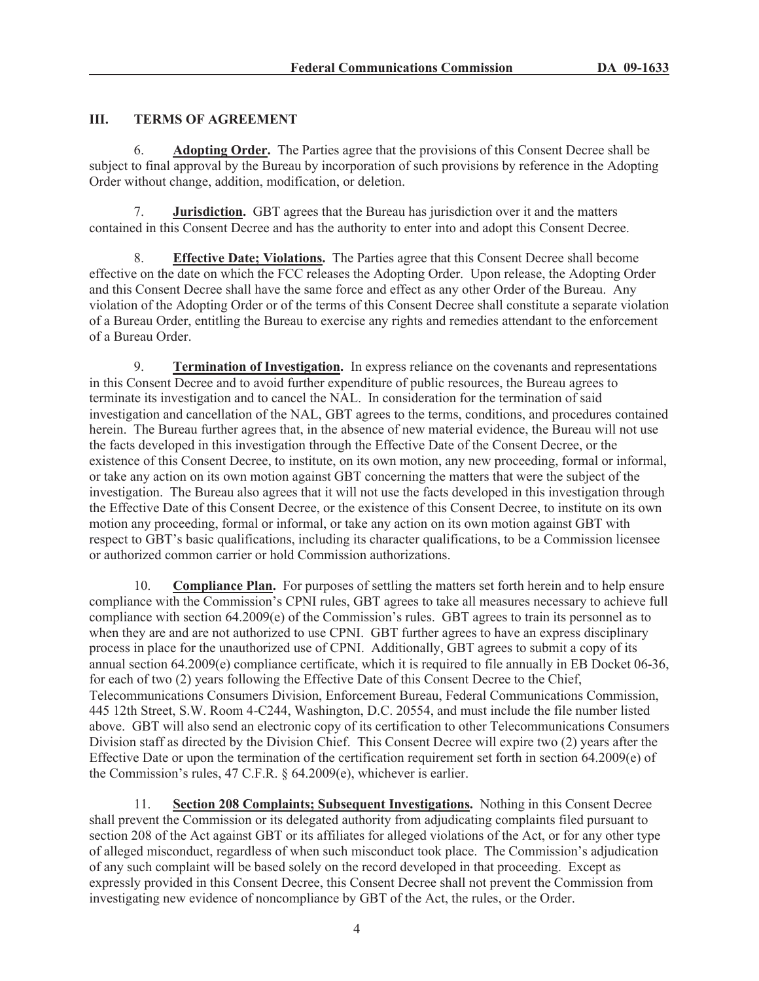# **III. TERMS OF AGREEMENT**

6. **Adopting Order.** The Parties agree that the provisions of this Consent Decree shall be subject to final approval by the Bureau by incorporation of such provisions by reference in the Adopting Order without change, addition, modification, or deletion.

7. **Jurisdiction.** GBT agrees that the Bureau has jurisdiction over it and the matters contained in this Consent Decree and has the authority to enter into and adopt this Consent Decree.

8. **Effective Date; Violations.** The Parties agree that this Consent Decree shall become effective on the date on which the FCC releases the Adopting Order. Upon release, the Adopting Order and this Consent Decree shall have the same force and effect as any other Order of the Bureau. Any violation of the Adopting Order or of the terms of this Consent Decree shall constitute a separate violation of a Bureau Order, entitling the Bureau to exercise any rights and remedies attendant to the enforcement of a Bureau Order.

9. **Termination of Investigation.** In express reliance on the covenants and representations in this Consent Decree and to avoid further expenditure of public resources, the Bureau agrees to terminate its investigation and to cancel the NAL. In consideration for the termination of said investigation and cancellation of the NAL, GBT agrees to the terms, conditions, and procedures contained herein. The Bureau further agrees that, in the absence of new material evidence, the Bureau will not use the facts developed in this investigation through the Effective Date of the Consent Decree, or the existence of this Consent Decree, to institute, on its own motion, any new proceeding, formal or informal, or take any action on its own motion against GBT concerning the matters that were the subject of the investigation. The Bureau also agrees that it will not use the facts developed in this investigation through the Effective Date of this Consent Decree, or the existence of this Consent Decree, to institute on its own motion any proceeding, formal or informal, or take any action on its own motion against GBT with respect to GBT's basic qualifications, including its character qualifications, to be a Commission licensee or authorized common carrier or hold Commission authorizations.

10. **Compliance Plan.** For purposes of settling the matters set forth herein and to help ensure compliance with the Commission's CPNI rules, GBT agrees to take all measures necessary to achieve full compliance with section  $64.2009(e)$  of the Commission's rules. GBT agrees to train its personnel as to when they are and are not authorized to use CPNI. GBT further agrees to have an express disciplinary process in place for the unauthorized use of CPNI. Additionally, GBT agrees to submit a copy of its annual section 64.2009(e) compliance certificate, which it is required to file annually in EB Docket 06-36, for each of two (2) years following the Effective Date of this Consent Decree to the Chief, Telecommunications Consumers Division, Enforcement Bureau, Federal Communications Commission, 445 12th Street, S.W. Room 4-C244, Washington, D.C. 20554, and must include the file number listed above. GBT will also send an electronic copy of its certification to other Telecommunications Consumers Division staff as directed by the Division Chief. This Consent Decree will expire two (2) years after the Effective Date or upon the termination of the certification requirement set forth in section 64.2009(e) of the Commission's rules, 47 C.F.R. § 64.2009(e), whichever is earlier.

11. **Section 208 Complaints; Subsequent Investigations.** Nothing in this Consent Decree shall prevent the Commission or its delegated authority from adjudicating complaints filed pursuant to section 208 of the Act against GBT or its affiliates for alleged violations of the Act, or for any other type of alleged misconduct, regardless of when such misconduct took place. The Commission's adjudication of any such complaint will be based solely on the record developed in that proceeding. Except as expressly provided in this Consent Decree, this Consent Decree shall not prevent the Commission from investigating new evidence of noncompliance by GBT of the Act, the rules, or the Order.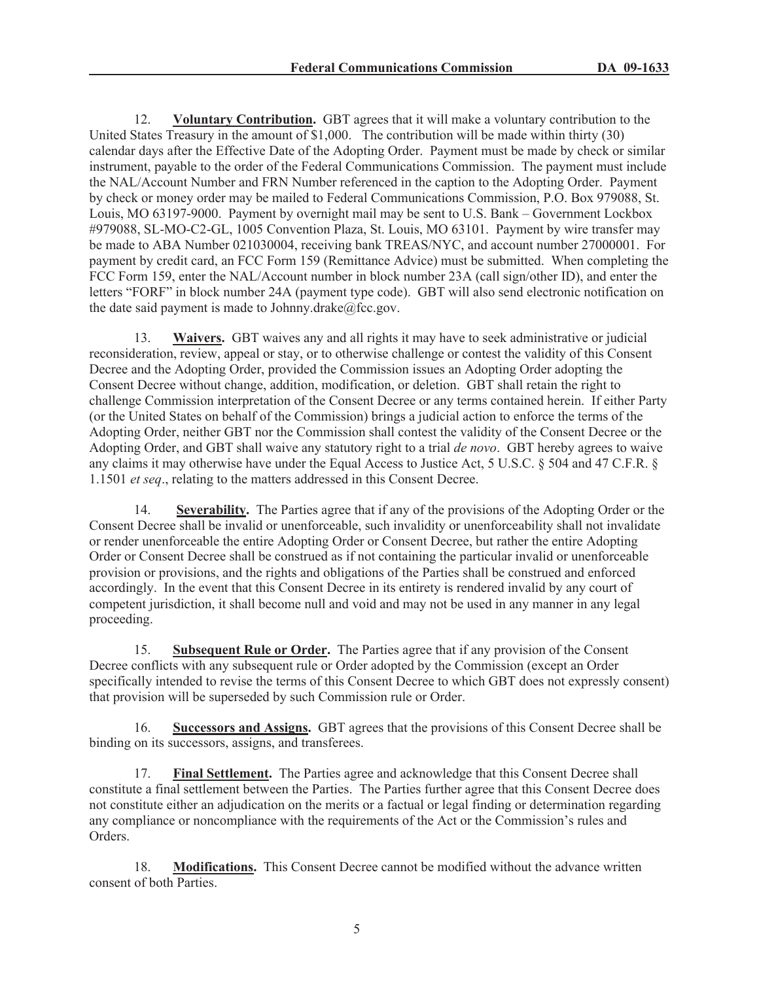12. **Voluntary Contribution.** GBT agrees that it will make a voluntary contribution to the United States Treasury in the amount of \$1,000. The contribution will be made within thirty (30) calendar days after the Effective Date of the Adopting Order. Payment must be made by check or similar instrument, payable to the order of the Federal Communications Commission. The payment must include the NAL/Account Number and FRN Number referenced in the caption to the Adopting Order. Payment by check or money order may be mailed to Federal Communications Commission, P.O. Box 979088, St. Louis, MO 63197-9000. Payment by overnight mail may be sent to U.S. Bank – Government Lockbox #979088, SL-MO-C2-GL, 1005 Convention Plaza, St. Louis, MO 63101. Payment by wire transfer may be made to ABA Number 021030004, receiving bank TREAS/NYC, and account number 27000001. For payment by credit card, an FCC Form 159 (Remittance Advice) must be submitted. When completing the FCC Form 159, enter the NAL/Account number in block number 23A (call sign/other ID), and enter the letters "FORF" in block number 24A (payment type code). GBT will also send electronic notification on the date said payment is made to Johnny.drake $@$ fcc.gov.

13. **Waivers.** GBT waives any and all rights it may have to seek administrative or judicial reconsideration, review, appeal or stay, or to otherwise challenge or contest the validity of this Consent Decree and the Adopting Order, provided the Commission issues an Adopting Order adopting the Consent Decree without change, addition, modification, or deletion. GBT shall retain the right to challenge Commission interpretation of the Consent Decree or any terms contained herein. If either Party (or the United States on behalf of the Commission) brings a judicial action to enforce the terms of the Adopting Order, neither GBT nor the Commission shall contest the validity of the Consent Decree or the Adopting Order, and GBT shall waive any statutory right to a trial *de novo*. GBT hereby agrees to waive any claims it may otherwise have under the Equal Access to Justice Act, 5 U.S.C. § 504 and 47 C.F.R. § 1.1501 *et seq*., relating to the matters addressed in this Consent Decree.

14. **Severability.** The Parties agree that if any of the provisions of the Adopting Order or the Consent Decree shall be invalid or unenforceable, such invalidity or unenforceability shall not invalidate or render unenforceable the entire Adopting Order or Consent Decree, but rather the entire Adopting Order or Consent Decree shall be construed as if not containing the particular invalid or unenforceable provision or provisions, and the rights and obligations of the Parties shall be construed and enforced accordingly. In the event that this Consent Decree in its entirety is rendered invalid by any court of competent jurisdiction, it shall become null and void and may not be used in any manner in any legal proceeding.

15. **Subsequent Rule or Order.** The Parties agree that if any provision of the Consent Decree conflicts with any subsequent rule or Order adopted by the Commission (except an Order specifically intended to revise the terms of this Consent Decree to which GBT does not expressly consent) that provision will be superseded by such Commission rule or Order.

16. **Successors and Assigns.** GBT agrees that the provisions of this Consent Decree shall be binding on its successors, assigns, and transferees.

17. **Final Settlement.** The Parties agree and acknowledge that this Consent Decree shall constitute a final settlement between the Parties. The Parties further agree that this Consent Decree does not constitute either an adjudication on the merits or a factual or legal finding or determination regarding any compliance or noncompliance with the requirements of the Act or the Commission's rules and Orders.

18. **Modifications.** This Consent Decree cannot be modified without the advance written consent of both Parties.